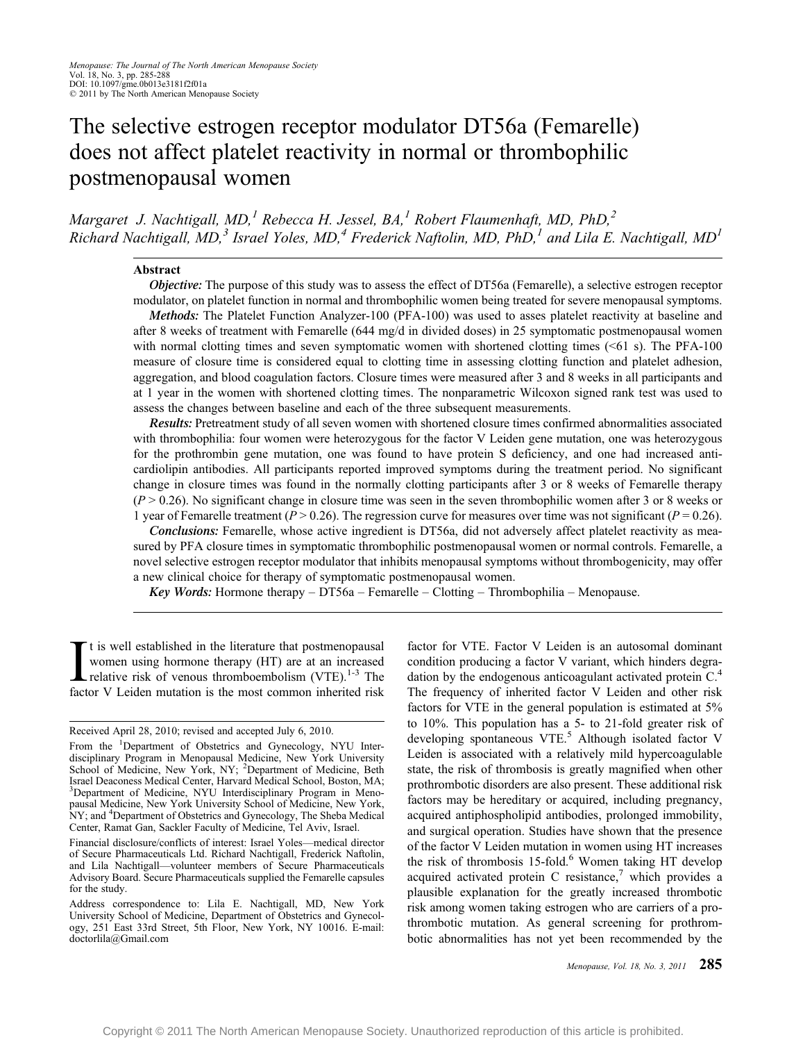# The selective estrogen receptor modulator DT56a (Femarelle) does not affect platelet reactivity in normal or thrombophilic postmenopausal women

Margaret J. Nachtigall, MD,<sup>1</sup> Rebecca H. Jessel, BA,<sup>1</sup> Robert Flaumenhaft, MD, PhD,<sup>2</sup> Richard Nachtigall, MD,<sup>3</sup> Israel Yoles, MD,<sup>4</sup> Frederick Naftolin, MD, PhD,<sup>1</sup> and Lila E. Nachtigall, MD<sup>1</sup>

## Abstract

Objective: The purpose of this study was to assess the effect of DT56a (Femarelle), a selective estrogen receptor modulator, on platelet function in normal and thrombophilic women being treated for severe menopausal symptoms.

Methods: The Platelet Function Analyzer-100 (PFA-100) was used to asses platelet reactivity at baseline and after 8 weeks of treatment with Femarelle (644 mg/d in divided doses) in 25 symptomatic postmenopausal women with normal clotting times and seven symptomatic women with shortened clotting times  $( $61 \text{ s}$ ). The PFA-100$ measure of closure time is considered equal to clotting time in assessing clotting function and platelet adhesion, aggregation, and blood coagulation factors. Closure times were measured after 3 and 8 weeks in all participants and at 1 year in the women with shortened clotting times. The nonparametric Wilcoxon signed rank test was used to assess the changes between baseline and each of the three subsequent measurements.

Results: Pretreatment study of all seven women with shortened closure times confirmed abnormalities associated with thrombophilia: four women were heterozygous for the factor V Leiden gene mutation, one was heterozygous for the prothrombin gene mutation, one was found to have protein S deficiency, and one had increased anticardiolipin antibodies. All participants reported improved symptoms during the treatment period. No significant change in closure times was found in the normally clotting participants after 3 or 8 weeks of Femarelle therapy  $(P > 0.26)$ . No significant change in closure time was seen in the seven thrombophilic women after 3 or 8 weeks or 1 year of Femarelle treatment ( $P > 0.26$ ). The regression curve for measures over time was not significant ( $P = 0.26$ ).

Conclusions: Femarelle, whose active ingredient is DT56a, did not adversely affect platelet reactivity as measured by PFA closure times in symptomatic thrombophilic postmenopausal women or normal controls. Femarelle, a novel selective estrogen receptor modulator that inhibits menopausal symptoms without thrombogenicity, may offer a new clinical choice for therapy of symptomatic postmenopausal women.

Key Words: Hormone therapy  $-DT56a$  – Femarelle – Clotting – Thrombophilia – Menopause.

It is well established in the literature that postmenopausal<br>women using hormone therapy (HT) are at an increased<br>relative risk of venous thromboembolism (VTE).<sup>1-3</sup> The<br>factor V Leiden mutation is the most common inherit t is well established in the literature that postmenopausal women using hormone therapy (HT) are at an increased relative risk of venous thromboembolism  $(VTE)$ .<sup>1-3</sup> The

factor for VTE. Factor V Leiden is an autosomal dominant condition producing a factor V variant, which hinders degradation by the endogenous anticoagulant activated protein C.<sup>4</sup> The frequency of inherited factor V Leiden and other risk factors for VTE in the general population is estimated at 5% to 10%. This population has a 5- to 21-fold greater risk of developing spontaneous VTE.<sup>5</sup> Although isolated factor V Leiden is associated with a relatively mild hypercoagulable state, the risk of thrombosis is greatly magnified when other prothrombotic disorders are also present. These additional risk factors may be hereditary or acquired, including pregnancy, acquired antiphospholipid antibodies, prolonged immobility, and surgical operation. Studies have shown that the presence of the factor V Leiden mutation in women using HT increases the risk of thrombosis 15-fold.<sup>6</sup> Women taking HT develop acquired activated protein C resistance, $\frac{7}{7}$  which provides a plausible explanation for the greatly increased thrombotic risk among women taking estrogen who are carriers of a prothrombotic mutation. As general screening for prothrombotic abnormalities has not yet been recommended by the

Received April 28, 2010; revised and accepted July 6, 2010.

From the <sup>1</sup>Department of Obstetrics and Gynecology, NYU Interdisciplinary Program in Menopausal Medicine, New York University<br>School of Medicine, New York, NY; <sup>2</sup>Department of Medicine, Beth Israel Deaconess Medical Center, Harvard Medical School, Boston, MA; <sup>3</sup>Department of Medicine, NYU Interdisciplinary Program in Menopausal Medicine, New York University School of Medicine, New York, NY; and <sup>4</sup>Department of Obstetrics and Gynecology, The Sheba Medical Center, Ramat Gan, Sackler Faculty of Medicine, Tel Aviv, Israel.

Financial disclosure/conflicts of interest: Israel Yoles-medical director of Secure Pharmaceuticals Ltd. Richard Nachtigall, Frederick Naftolin, and Lila Nachtigall—volunteer members of Secure Pharmaceuticals Advisory Board. Secure Pharmaceuticals supplied the Femarelle capsules for the study.

Address correspondence to: Lila E. Nachtigall, MD, New York University School of Medicine, Department of Obstetrics and Gynecology, 251 East 33rd Street, 5th Floor, New York, NY 10016. E-mail: doctorlila@Gmail.com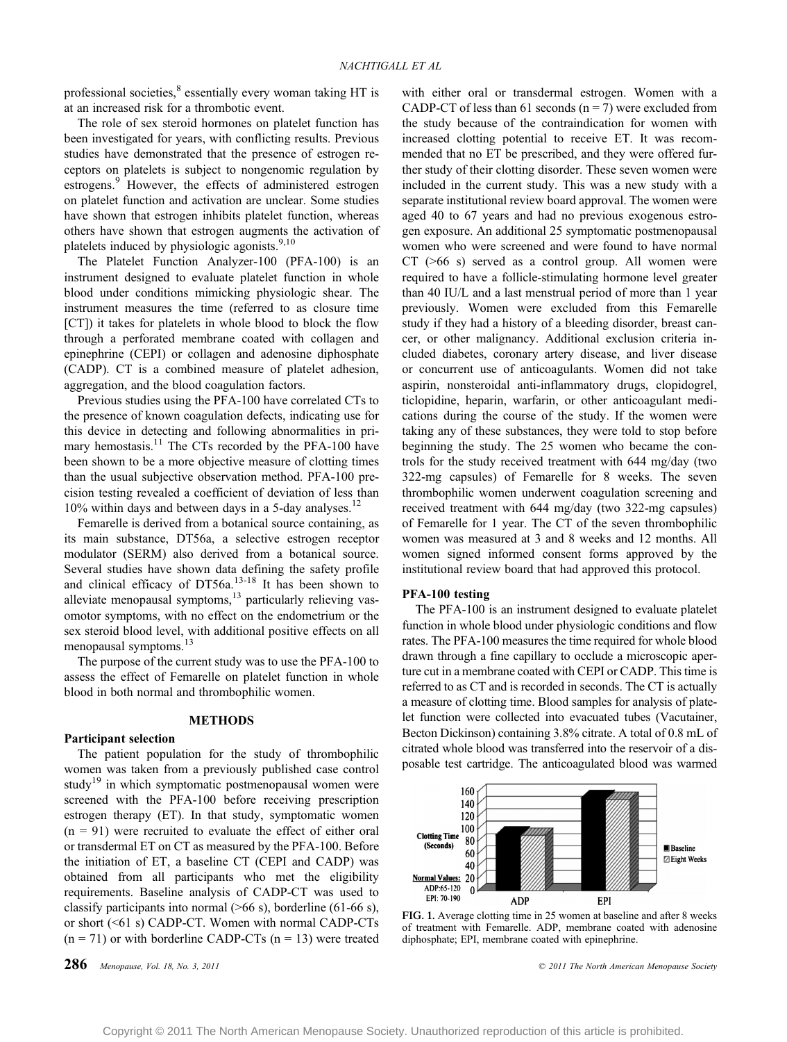professional societies,<sup>8</sup> essentially every woman taking HT is at an increased risk for a thrombotic event.

The role of sex steroid hormones on platelet function has been investigated for years, with conflicting results. Previous studies have demonstrated that the presence of estrogen receptors on platelets is subject to nongenomic regulation by estrogens.<sup>9</sup> However, the effects of administered estrogen on platelet function and activation are unclear. Some studies have shown that estrogen inhibits platelet function, whereas others have shown that estrogen augments the activation of platelets induced by physiologic agonists. $9,10$ 

The Platelet Function Analyzer-100 (PFA-100) is an instrument designed to evaluate platelet function in whole blood under conditions mimicking physiologic shear. The instrument measures the time (referred to as closure time [CT]) it takes for platelets in whole blood to block the flow through a perforated membrane coated with collagen and epinephrine (CEPI) or collagen and adenosine diphosphate (CADP). CT is a combined measure of platelet adhesion, aggregation, and the blood coagulation factors.

Previous studies using the PFA-100 have correlated CTs to the presence of known coagulation defects, indicating use for this device in detecting and following abnormalities in primary hemostasis. $11$  The CTs recorded by the PFA-100 have been shown to be a more objective measure of clotting times than the usual subjective observation method. PFA-100 precision testing revealed a coefficient of deviation of less than  $10\%$  within days and between days in a 5-day analyses.<sup>12</sup>

Femarelle is derived from a botanical source containing, as its main substance, DT56a, a selective estrogen receptor modulator (SERM) also derived from a botanical source. Several studies have shown data defining the safety profile and clinical efficacy of  $DT56a$ .<sup>13-18</sup> It has been shown to alleviate menopausal symptoms, $^{13}$  particularly relieving vasomotor symptoms, with no effect on the endometrium or the sex steroid blood level, with additional positive effects on all menopausal symptoms.<sup>13</sup>

The purpose of the current study was to use the PFA-100 to assess the effect of Femarelle on platelet function in whole blood in both normal and thrombophilic women.

# **METHODS**

### Participant selection

The patient population for the study of thrombophilic women was taken from a previously published case control study<sup>19</sup> in which symptomatic postmenopausal women were screened with the PFA-100 before receiving prescription estrogen therapy (ET). In that study, symptomatic women  $(n = 91)$  were recruited to evaluate the effect of either oral or transdermal ET on CT as measured by the PFA-100. Before the initiation of ET, a baseline CT (CEPI and CADP) was obtained from all participants who met the eligibility requirements. Baseline analysis of CADP-CT was used to classify participants into normal  $($ >66 s), borderline (61-66 s), or short  $( $61 \text{ s}$ )$  CADP-CT. Women with normal CADP-CTs  $(n = 71)$  or with borderline CADP-CTs  $(n = 13)$  were treated

with either oral or transdermal estrogen. Women with a CADP-CT of less than 61 seconds ( $n = 7$ ) were excluded from the study because of the contraindication for women with increased clotting potential to receive ET. It was recommended that no ET be prescribed, and they were offered further study of their clotting disorder. These seven women were included in the current study. This was a new study with a separate institutional review board approval. The women were aged 40 to 67 years and had no previous exogenous estrogen exposure. An additional 25 symptomatic postmenopausal women who were screened and were found to have normal  $CT$  ( $>66$  s) served as a control group. All women were required to have a follicle-stimulating hormone level greater than 40 IU/L and a last menstrual period of more than 1 year previously. Women were excluded from this Femarelle study if they had a history of a bleeding disorder, breast cancer, or other malignancy. Additional exclusion criteria included diabetes, coronary artery disease, and liver disease or concurrent use of anticoagulants. Women did not take aspirin, nonsteroidal anti-inflammatory drugs, clopidogrel, ticlopidine, heparin, warfarin, or other anticoagulant medications during the course of the study. If the women were taking any of these substances, they were told to stop before beginning the study. The 25 women who became the controls for the study received treatment with 644 mg/day (two 322-mg capsules) of Femarelle for 8 weeks. The seven thrombophilic women underwent coagulation screening and received treatment with 644 mg/day (two 322-mg capsules) of Femarelle for 1 year. The CT of the seven thrombophilic women was measured at 3 and 8 weeks and 12 months. All women signed informed consent forms approved by the institutional review board that had approved this protocol.

# PFA-100 testing

The PFA-100 is an instrument designed to evaluate platelet function in whole blood under physiologic conditions and flow rates. The PFA-100 measures the time required for whole blood drawn through a fine capillary to occlude a microscopic aperture cut in a membrane coated with CEPI or CADP. This time is referred to as CT and is recorded in seconds. The CT is actually a measure of clotting time. Blood samples for analysis of platelet function were collected into evacuated tubes (Vacutainer, Becton Dickinson) containing 3.8% citrate. A total of 0.8 mL of citrated whole blood was transferred into the reservoir of a disposable test cartridge. The anticoagulated blood was warmed



FIG. 1. Average clotting time in 25 women at baseline and after 8 weeks of treatment with Femarelle. ADP, membrane coated with adenosine diphosphate; EPI, membrane coated with epinephrine.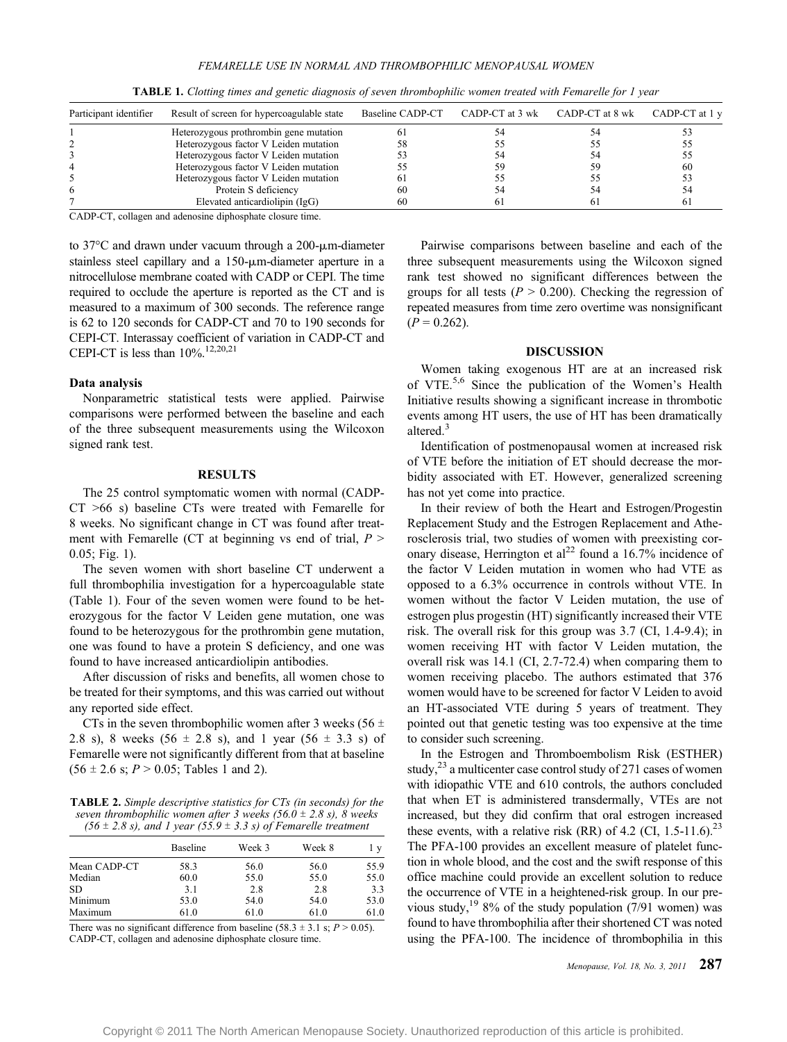| Participant identifier | Result of screen for hypercoagulable state | Baseline CADP-CT | CADP-CT at 3 wk CADP-CT at 8 wk | CADP-CT at 1 y |
|------------------------|--------------------------------------------|------------------|---------------------------------|----------------|
|                        | Heterozygous prothrombin gene mutation     |                  |                                 |                |
|                        | Heterozygous factor V Leiden mutation      | 58               |                                 |                |
|                        | Heterozygous factor V Leiden mutation      |                  |                                 |                |
|                        | Heterozygous factor V Leiden mutation      |                  |                                 | -60            |
|                        | Heterozygous factor V Leiden mutation      | 61               |                                 |                |
| 6                      | Protein S deficiency                       | 60               |                                 |                |
|                        | Elevated anticardiolipin (IgG)             | 60               |                                 |                |

TABLE 1. Clotting times and genetic diagnosis of seven thrombophilic women treated with Femarelle for 1 year

CADP-CT, collagen and adenosine diphosphate closure time.

to 37 $\degree$ C and drawn under vacuum through a 200- $\mu$ m-diameter stainless steel capillary and a  $150$ - $\mu$ m-diameter aperture in a nitrocellulose membrane coated with CADP or CEPI. The time required to occlude the aperture is reported as the CT and is measured to a maximum of 300 seconds. The reference range is 62 to 120 seconds for CADP-CT and 70 to 190 seconds for CEPI-CT. Interassay coefficient of variation in CADP-CT and CEPI-CT is less than  $10\%$ .<sup>12,20,21</sup>

## Data analysis

Nonparametric statistical tests were applied. Pairwise comparisons were performed between the baseline and each of the three subsequent measurements using the Wilcoxon signed rank test.

### RESULTS

The 25 control symptomatic women with normal (CADP- $CT > 66$  s) baseline CTs were treated with Femarelle for 8 weeks. No significant change in CT was found after treatment with Femarelle (CT at beginning vs end of trial,  $P >$ 0.05; Fig. 1).

The seven women with short baseline CT underwent a full thrombophilia investigation for a hypercoagulable state (Table 1). Four of the seven women were found to be heterozygous for the factor V Leiden gene mutation, one was found to be heterozygous for the prothrombin gene mutation, one was found to have a protein S deficiency, and one was found to have increased anticardiolipin antibodies.

After discussion of risks and benefits, all women chose to be treated for their symptoms, and this was carried out without any reported side effect.

CTs in the seven thrombophilic women after 3 weeks (56  $\pm$ 2.8 s), 8 weeks (56  $\pm$  2.8 s), and 1 year (56  $\pm$  3.3 s) of Femarelle were not significantly different from that at baseline  $(56 \pm 2.6 \text{ s}; P > 0.05; \text{Tables } 1 \text{ and } 2).$ 

TABLE 2. Simple descriptive statistics for CTs (in seconds) for the seven thrombophilic women after 3 weeks (56.0  $\pm$  2.8 s), 8 weeks (56  $\pm$  2.8 s), and 1 year (55.9  $\pm$  3.3 s) of Femarelle treatment

|              | <b>Baseline</b> | Week 3 | Week 8 | l y  |
|--------------|-----------------|--------|--------|------|
| Mean CADP-CT | 58.3            | 56.0   | 56.0   | 55.9 |
| Median       | 60.0            | 55.0   | 55.0   | 55.0 |
| SD.          | 3.1             | 2.8    | 2.8    | 3.3  |
| Minimum      | 53.0            | 54.0   | 54.0   | 53.0 |
| Maximum      | 61.0            | 61.0   | 61.0   | 61.0 |

There was no significant difference from baseline (58.3  $\pm$  3.1 s; P > 0.05). CADP-CT, collagen and adenosine diphosphate closure time.

Pairwise comparisons between baseline and each of the three subsequent measurements using the Wilcoxon signed rank test showed no significant differences between the groups for all tests ( $P > 0.200$ ). Checking the regression of repeated measures from time zero overtime was nonsignificant  $(P = 0.262)$ .

## DISCUSSION

Women taking exogenous HT are at an increased risk of VTE.5,6 Since the publication of the Women's Health Initiative results showing a significant increase in thrombotic events among HT users, the use of HT has been dramatically altered.<sup>3</sup>

Identification of postmenopausal women at increased risk of VTE before the initiation of ET should decrease the morbidity associated with ET. However, generalized screening has not yet come into practice.

In their review of both the Heart and Estrogen/Progestin Replacement Study and the Estrogen Replacement and Atherosclerosis trial, two studies of women with preexisting coronary disease, Herrington et al<sup>22</sup> found a 16.7% incidence of the factor V Leiden mutation in women who had VTE as opposed to a 6.3% occurrence in controls without VTE. In women without the factor V Leiden mutation, the use of estrogen plus progestin (HT) significantly increased their VTE risk. The overall risk for this group was 3.7 (CI, 1.4-9.4); in women receiving HT with factor V Leiden mutation, the overall risk was 14.1 (CI, 2.7-72.4) when comparing them to women receiving placebo. The authors estimated that 376 women would have to be screened for factor V Leiden to avoid an HT-associated VTE during 5 years of treatment. They pointed out that genetic testing was too expensive at the time to consider such screening.

In the Estrogen and Thromboembolism Risk (ESTHER) study, $^{23}$  a multicenter case control study of 271 cases of women with idiopathic VTE and 610 controls, the authors concluded that when ET is administered transdermally, VTEs are not increased, but they did confirm that oral estrogen increased these events, with a relative risk (RR) of 4.2 (CI, 1.5-11.6).<sup>23</sup> The PFA-100 provides an excellent measure of platelet function in whole blood, and the cost and the swift response of this office machine could provide an excellent solution to reduce the occurrence of VTE in a heightened-risk group. In our previous study,<sup>19</sup> 8% of the study population (7/91 women) was found to have thrombophilia after their shortened CT was noted using the PFA-100. The incidence of thrombophilia in this